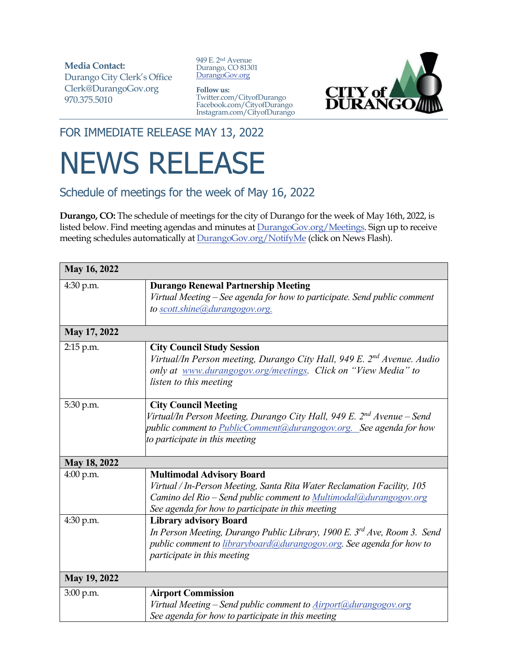**Media Contact:**  Durango City Clerk's Office Clerk@DurangoGov.org 970.375.5010

949 E. 2nd Avenue Durango, CO 81301 DurangoGov.org

**Follow us:** Twitter.com/CityofDurango Facebook.com/CityofDurango Instagram.com/CityofDurango



FOR IMMEDIATE RELEASE MAY 13, 2022

## NEWS RELEASE

Schedule of meetings for the week of May 16, 2022

**Durango, CO:** The schedule of meetings for the city of Durango for the week of May 16th, 2022, is listed below. Find meeting agendas and minutes at **DurangoGov.org/Meetings**. Sign up to receive meeting schedules automatically at **DurangoGov.org/NotifyMe** (click on News Flash).

| May 16, 2022 |                                                                                                                                                                                                                                              |
|--------------|----------------------------------------------------------------------------------------------------------------------------------------------------------------------------------------------------------------------------------------------|
| 4:30 p.m.    | <b>Durango Renewal Partnership Meeting</b><br>Virtual Meeting – See agenda for how to participate. Send public comment<br>to scott.shine@durangogov.org.                                                                                     |
| May 17, 2022 |                                                                                                                                                                                                                                              |
| 2:15 p.m.    | <b>City Council Study Session</b><br>Virtual/In Person meeting, Durango City Hall, 949 E. 2 <sup>nd</sup> Avenue. Audio<br>only at www.durangogov.org/meetings. Click on "View Media" to<br>listen to this meeting                           |
| 5:30 p.m.    | <b>City Council Meeting</b><br>Virtual/In Person Meeting, Durango City Hall, 949 E. 2 <sup>nd</sup> Avenue – Send<br>public comment to PublicComment@durangogov.org. See agenda for how<br>to participate in this meeting                    |
| May 18, 2022 |                                                                                                                                                                                                                                              |
| 4:00 p.m.    | <b>Multimodal Advisory Board</b><br>Virtual / In-Person Meeting, Santa Rita Water Reclamation Facility, 105<br>Camino del Rio - Send public comment to <i>Multimodal@durangogov.org</i><br>See agenda for how to participate in this meeting |
| 4:30 p.m.    | <b>Library advisory Board</b><br>In Person Meeting, Durango Public Library, 1900 E. 3 <sup>rd</sup> Ave, Room 3. Send<br>public comment to libraryboard@durangogov.org. See agenda for how to<br>participate in this meeting                 |
| May 19, 2022 |                                                                                                                                                                                                                                              |
| 3:00 p.m.    | <b>Airport Commission</b><br>Virtual Meeting - Send public comment to Airport@durangogov.org<br>See agenda for how to participate in this meeting                                                                                            |